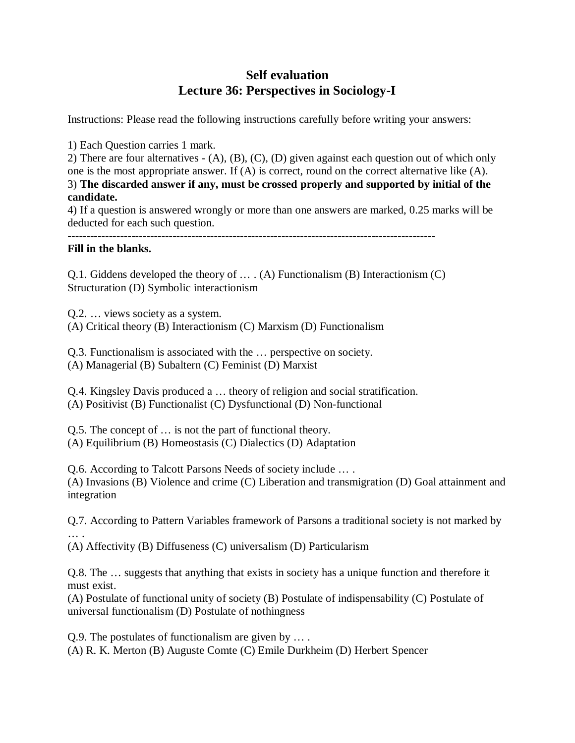## **Self evaluation Lecture 36: Perspectives in Sociology-I**

Instructions: Please read the following instructions carefully before writing your answers:

1) Each Question carries 1 mark.

2) There are four alternatives - (A), (B), (C), (D) given against each question out of which only one is the most appropriate answer. If (A) is correct, round on the correct alternative like (A). 3) **The discarded answer if any, must be crossed properly and supported by initial of the candidate.**

4) If a question is answered wrongly or more than one answers are marked, 0.25 marks will be deducted for each such question.

--------------------------------------------------------------------------------------------------

## **Fill in the blanks.**

Q.1. Giddens developed the theory of … . (A) Functionalism (B) Interactionism (C) Structuration (D) Symbolic interactionism

Q.2. … views society as a system. (A) Critical theory (B) Interactionism (C) Marxism (D) Functionalism

Q.3. Functionalism is associated with the … perspective on society. (A) Managerial (B) Subaltern (C) Feminist (D) Marxist

Q.4. Kingsley Davis produced a … theory of religion and social stratification. (A) Positivist (B) Functionalist (C) Dysfunctional (D) Non-functional

Q.5. The concept of … is not the part of functional theory. (A) Equilibrium (B) Homeostasis (C) Dialectics (D) Adaptation

Q.6. According to Talcott Parsons Needs of society include … . (A) Invasions (B) Violence and crime (C) Liberation and transmigration (D) Goal attainment and integration

Q.7. According to Pattern Variables framework of Parsons a traditional society is not marked by … .

(A) Affectivity (B) Diffuseness (C) universalism (D) Particularism

Q.8. The … suggests that anything that exists in society has a unique function and therefore it must exist.

(A) Postulate of functional unity of society (B) Postulate of indispensability (C) Postulate of universal functionalism (D) Postulate of nothingness

Q.9. The postulates of functionalism are given by … . (A) R. K. Merton (B) Auguste Comte (C) Emile Durkheim (D) Herbert Spencer